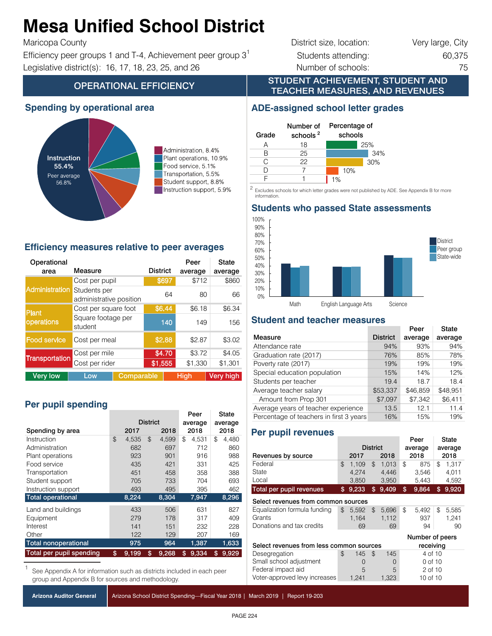#### Alaga Ilhifiad Cahaal **Mesa Unified School District**  $\mathbf{f}$  service  $\mathbf{f}$   $\mathbf{f}$   $\mathbf{f}$   $\mathbf{f}$

## $T$ ranc $Q$ pa Godin $y$

Efficiency peer groups 1 and T-4, Achievement peer group  $3^1$  Students attending: 60,375 60,375 Instruction support 5.9% 5.9% Instruction support, 5.9% Legislative district(s): 16, 17, 18, 23, 25, and 26 Number of schools: 75

# District size, location: Very large, City

## **OPERATIONAL EFFICIENCY**

## **Spending by operational area**



Administration, 8.4% Plant operations, 10.9% Food service, 5.1% Transportation, 5.5% Student support, 8.8% Instruction support, 5.9%

#### **Efficiency measures relative to peer averages**

| Operational           |                                         |            |                 | Peer        | State            |  |
|-----------------------|-----------------------------------------|------------|-----------------|-------------|------------------|--|
| area                  | Measure                                 |            | <b>District</b> | average     | average          |  |
|                       | Cost per pupil                          |            | \$697           | \$712       | \$860            |  |
| <b>Administration</b> | Students per<br>administrative position |            | 64              | 80          | 66               |  |
| <b>Plant</b>          | Cost per square foot                    |            | \$6.44          | \$6.18      | \$6.34           |  |
| operations            | Square footage per<br>student           |            | 140             | 149         | 156              |  |
| Food service          | Cost per meal                           |            | \$2.88          | \$2.87      | \$3.02           |  |
|                       | Cost per mile                           |            | \$4.70          | \$3.72      | \$4.05           |  |
| <b>Transportation</b> | Cost per rider                          |            | \$1,555         | \$1,330     | \$1,301          |  |
| <b>Very low</b>       | Low                                     | Comparable |                 | <b>High</b> | <b>Very high</b> |  |

## Per pupil spending

|                             |                 |       | Peer |         | <b>State</b> |         |    |       |
|-----------------------------|-----------------|-------|------|---------|--------------|---------|----|-------|
|                             | <b>District</b> |       |      | average |              | average |    |       |
| Spending by area            |                 | 2017  |      | 2018    | 2018         |         |    | 2018  |
| Instruction                 | \$              | 4.535 | \$   | 4.599   | \$           | 4.531   | \$ | 4,480 |
| Administration              |                 | 682   |      | 697     |              | 712     |    | 860   |
| Plant operations            |                 | 923   |      | 901     |              | 916     |    | 988   |
| Food service                |                 | 435   |      | 421     |              | 331     |    | 425   |
| Transportation              |                 | 451   |      | 458     |              | 358     |    | 388   |
| Student support             |                 | 705   |      | 733     |              | 704     |    | 693   |
| Instruction support         |                 | 493   |      | 495     |              | 395     |    | 462   |
| <b>Total operational</b>    |                 | 8,224 |      | 8,304   |              | 7,947   |    | 8,296 |
| Land and buildings          |                 | 433   |      | 506     |              | 631     |    | 827   |
| Equipment                   |                 | 279   |      | 178     |              | 317     |    | 409   |
| Interest                    |                 | 141   |      | 151     |              | 232     |    | 228   |
| Other                       |                 | 122   |      | 129     |              | 207     |    | 169   |
| <b>Total nonoperational</b> |                 | 975   |      | 964     |              | 1,387   |    | 1,633 |
| Total per pupil spending    | \$              | 9.199 | \$   | 9.268   | \$           | 9.334   | \$ | 9,929 |

See Appendix A for information such as districts included in each peer group and Appendix B for sources and methodology.

|  |  |  | Arizona Auditor General |  |
|--|--|--|-------------------------|--|
|--|--|--|-------------------------|--|

Arizona School District Spending—Fiscal Year 2018 | March 2019 | Report 19-203

STUDENT ACHIEVEMENT, STUDENT AND TEACHER MEASURES, AND REVENUES

## **ADE-assigned school letter grades**



2 Excludes schools for which letter grades were not published by ADE. See Appendix B for more information. **Excludes scribble for write**<br>
10 **information**  $\mathcal{E}$  information. See Appendix B for which letter grades were not published by  $\mathcal{E}$  for more information.

## **Students who passed State assessments**



## **Student and teacher measures**

|                                         |                 | Peer     | State    |
|-----------------------------------------|-----------------|----------|----------|
| Measure                                 | <b>District</b> | average  | average  |
| Attendance rate                         | 94%             | 93%      | 94%      |
| Graduation rate (2017)                  | 76%             | 85%      | 78%      |
| Poverty rate (2017)                     | 19%             | 19%      | 19%      |
| Special education population            | 15%             | 14%      | 12%      |
| Students per teacher                    | 19.4            | 18.7     | 18.4     |
| Average teacher salary                  | \$53,337        | \$46,859 | \$48,951 |
| Amount from Prop 301                    | \$7,097         | \$7,342  | \$6,411  |
| Average years of teacher experience     | 13.5            | 12.1     | 11.4     |
| Percentage of teachers in first 3 years | 16%             | 15%      | 19%      |

## **Per pupil revenues**

|                                          |    |                  |                 |          | Peer            |          | State   |       |
|------------------------------------------|----|------------------|-----------------|----------|-----------------|----------|---------|-------|
|                                          |    |                  | <b>District</b> |          | average         |          | average |       |
| Revenues by source                       |    | 2017             |                 | 2018     | 2018            |          | 2018    |       |
| Federal                                  | \$ | 1.109            | $\mathfrak{L}$  | 1.013    | \$              | 875      | \$      | 1.317 |
| State                                    |    | 4.274            |                 | 4,446    |                 | 3.546    |         | 4.011 |
| Local                                    |    | 3,850            |                 | 3,950    |                 | 5,443    |         | 4,592 |
| Total per pupil revenues                 | \$ | 9,233            | \$              | 9,409    | \$              | 9.864    | \$      | 9,920 |
| Select revenues from common sources      |    |                  |                 |          |                 |          |         |       |
| Equalization formula funding             | \$ | 5.592            | $\mathfrak{L}$  | 5,696    | \$              | 5.492    | \$      | 5,585 |
| Grants                                   |    | 1,164            |                 | 1,112    |                 | 937      |         | 1,241 |
| Donations and tax credits                |    | 69               |                 | 69       |                 | 94       |         | 90    |
|                                          |    |                  |                 |          | Number of peers |          |         |       |
| Select revenues from less common sources |    |                  |                 |          | receiving       |          |         |       |
| Desegregation                            | \$ | 145              | $\mathfrak{L}$  | 145      |                 | 4 of 10  |         |       |
| Small school adjustment                  |    | $\left( \right)$ |                 | $\Omega$ | 0 of 10         |          |         |       |
| Federal impact aid                       |    | 5                |                 | 5        |                 | 2 of 10  |         |       |
| Voter-approved levy increases            |    | 1,241            |                 | 1,323    |                 | 10 of 10 |         |       |